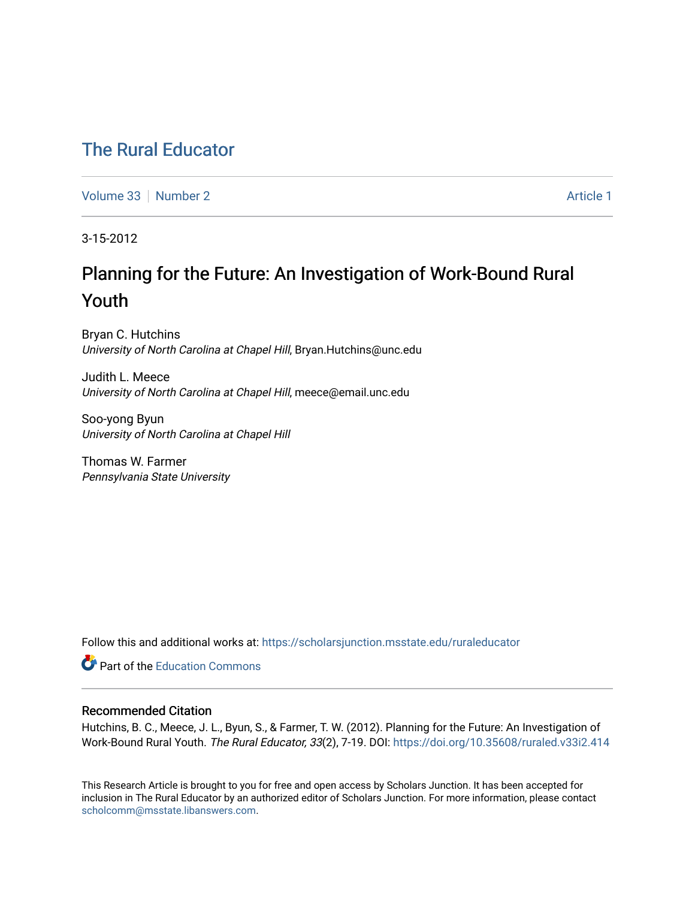## [The Rural Educator](https://scholarsjunction.msstate.edu/ruraleducator)

[Volume 33](https://scholarsjunction.msstate.edu/ruraleducator/vol33) [Number 2](https://scholarsjunction.msstate.edu/ruraleducator/vol33/iss2) Article 1

3-15-2012

# Planning for the Future: An Investigation of Work-Bound Rural Youth

Bryan C. Hutchins University of North Carolina at Chapel Hill, Bryan.Hutchins@unc.edu

Judith L. Meece University of North Carolina at Chapel Hill, meece@email.unc.edu

Soo-yong Byun University of North Carolina at Chapel Hill

Thomas W. Farmer Pennsylvania State University

Follow this and additional works at: [https://scholarsjunction.msstate.edu/ruraleducator](https://scholarsjunction.msstate.edu/ruraleducator?utm_source=scholarsjunction.msstate.edu%2Fruraleducator%2Fvol33%2Fiss2%2F1&utm_medium=PDF&utm_campaign=PDFCoverPages)

**C** Part of the [Education Commons](http://network.bepress.com/hgg/discipline/784?utm_source=scholarsjunction.msstate.edu%2Fruraleducator%2Fvol33%2Fiss2%2F1&utm_medium=PDF&utm_campaign=PDFCoverPages)

## Recommended Citation

Hutchins, B. C., Meece, J. L., Byun, S., & Farmer, T. W. (2012). Planning for the Future: An Investigation of Work-Bound Rural Youth. The Rural Educator, 33(2), 7-19. DOI: <https://doi.org/10.35608/ruraled.v33i2.414>

This Research Article is brought to you for free and open access by Scholars Junction. It has been accepted for inclusion in The Rural Educator by an authorized editor of Scholars Junction. For more information, please contact [scholcomm@msstate.libanswers.com.](mailto:scholcomm@msstate.libanswers.com)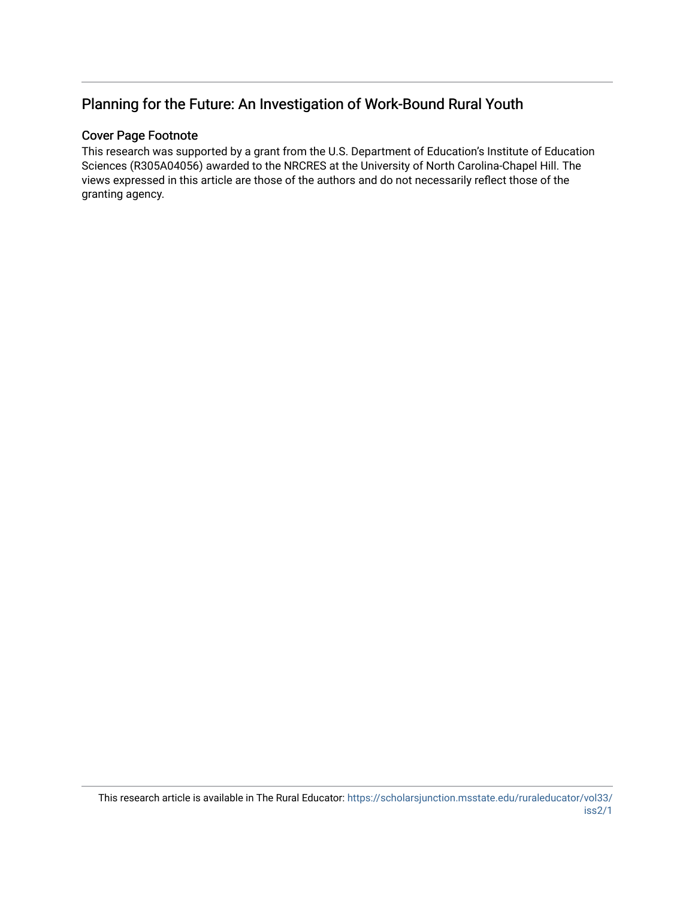## Planning for the Future: An Investigation of Work-Bound Rural Youth

## Cover Page Footnote

This research was supported by a grant from the U.S. Department of Education's Institute of Education Sciences (R305A04056) awarded to the NRCRES at the University of North Carolina-Chapel Hill. The views expressed in this article are those of the authors and do not necessarily reflect those of the granting agency.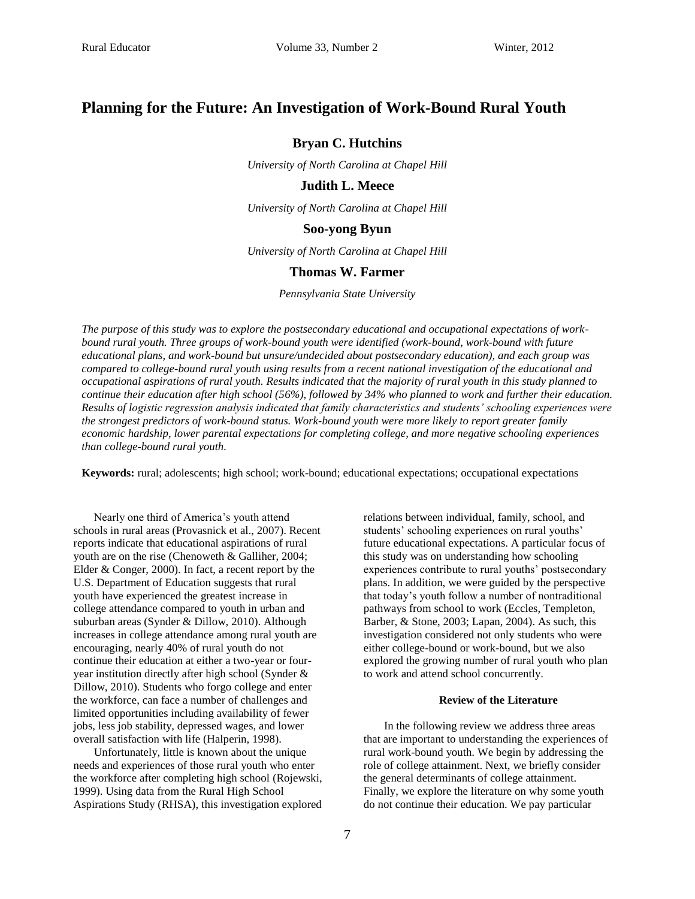## **Planning for the Future: An Investigation of Work-Bound Rural Youth**

## **Bryan C. Hutchins**

*University of North Carolina at Chapel Hill*

### **Judith L. Meece**

*University of North Carolina at Chapel Hill*

#### **Soo-yong Byun**

*University of North Carolina at Chapel Hill*

#### **Thomas W. Farmer**

*Pennsylvania State University*

*The purpose of this study was to explore the postsecondary educational and occupational expectations of workbound rural youth. Three groups of work-bound youth were identified (work-bound, work-bound with future educational plans, and work-bound but unsure/undecided about postsecondary education), and each group was compared to college-bound rural youth using results from a recent national investigation of the educational and occupational aspirations of rural youth. Results indicated that the majority of rural youth in this study planned to continue their education after high school (56%), followed by 34% who planned to work and further their education. Results of logistic regression analysis indicated that family characteristics and students' schooling experiences were the strongest predictors of work-bound status. Work-bound youth were more likely to report greater family economic hardship, lower parental expectations for completing college, and more negative schooling experiences than college-bound rural youth.* 

**Keywords:** rural; adolescents; high school; work-bound; educational expectations; occupational expectations

Nearly one third of America's youth attend schools in rural areas (Provasnick et al., 2007). Recent reports indicate that educational aspirations of rural youth are on the rise (Chenoweth & Galliher, 2004; Elder & Conger, 2000). In fact, a recent report by the U.S. Department of Education suggests that rural youth have experienced the greatest increase in college attendance compared to youth in urban and suburban areas (Synder & Dillow, 2010). Although increases in college attendance among rural youth are encouraging, nearly 40% of rural youth do not continue their education at either a two-year or fouryear institution directly after high school (Synder & Dillow, 2010). Students who forgo college and enter the workforce, can face a number of challenges and limited opportunities including availability of fewer jobs, less job stability, depressed wages, and lower overall satisfaction with life (Halperin, 1998).

Unfortunately, little is known about the unique needs and experiences of those rural youth who enter the workforce after completing high school (Rojewski, 1999). Using data from the Rural High School Aspirations Study (RHSA), this investigation explored relations between individual, family, school, and students' schooling experiences on rural youths' future educational expectations. A particular focus of this study was on understanding how schooling experiences contribute to rural youths' postsecondary plans. In addition, we were guided by the perspective that today's youth follow a number of nontraditional pathways from school to work (Eccles, Templeton, Barber, & Stone, 2003; Lapan, 2004). As such, this investigation considered not only students who were either college-bound or work-bound, but we also explored the growing number of rural youth who plan to work and attend school concurrently.

#### **Review of the Literature**

In the following review we address three areas that are important to understanding the experiences of rural work-bound youth. We begin by addressing the role of college attainment. Next, we briefly consider the general determinants of college attainment. Finally, we explore the literature on why some youth do not continue their education. We pay particular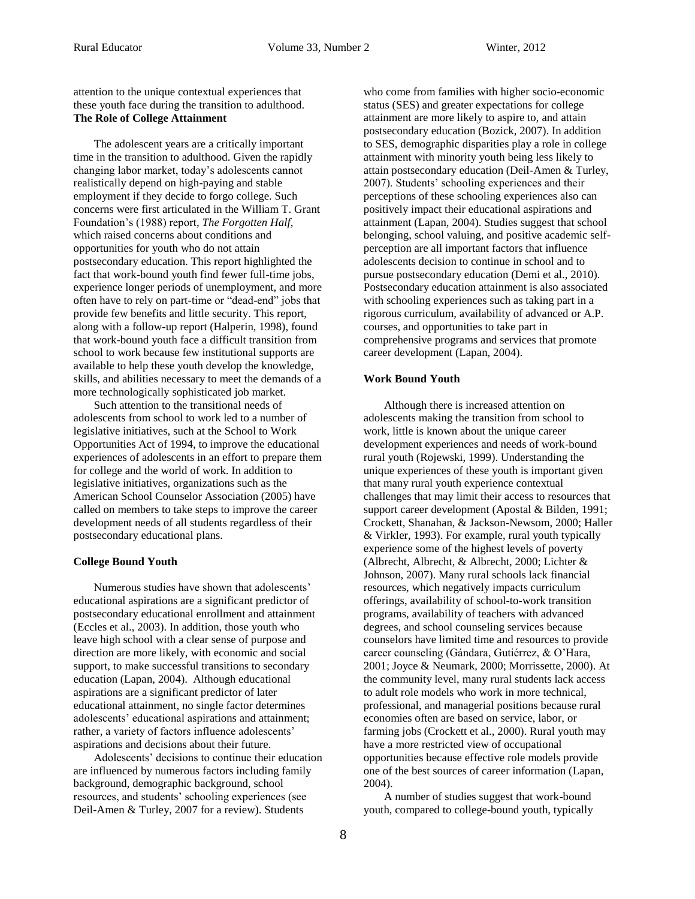attention to the unique contextual experiences that these youth face during the transition to adulthood. **The Role of College Attainment**

The adolescent years are a critically important time in the transition to adulthood. Given the rapidly changing labor market, today's adolescents cannot realistically depend on high-paying and stable employment if they decide to forgo college. Such concerns were first articulated in the William T. Grant Foundation's (1988) report, *The Forgotten Half,* which raised concerns about conditions and opportunities for youth who do not attain postsecondary education. This report highlighted the fact that work-bound youth find fewer full-time jobs, experience longer periods of unemployment, and more often have to rely on part-time or "dead-end" jobs that provide few benefits and little security. This report, along with a follow-up report (Halperin, 1998), found that work-bound youth face a difficult transition from school to work because few institutional supports are available to help these youth develop the knowledge, skills, and abilities necessary to meet the demands of a more technologically sophisticated job market.

Such attention to the transitional needs of adolescents from school to work led to a number of legislative initiatives, such at the School to Work Opportunities Act of 1994, to improve the educational experiences of adolescents in an effort to prepare them for college and the world of work. In addition to legislative initiatives, organizations such as the American School Counselor Association (2005) have called on members to take steps to improve the career development needs of all students regardless of their postsecondary educational plans.

#### **College Bound Youth**

Numerous studies have shown that adolescents' educational aspirations are a significant predictor of postsecondary educational enrollment and attainment (Eccles et al., 2003). In addition, those youth who leave high school with a clear sense of purpose and direction are more likely, with economic and social support, to make successful transitions to secondary education (Lapan, 2004). Although educational aspirations are a significant predictor of later educational attainment, no single factor determines adolescents' educational aspirations and attainment; rather, a variety of factors influence adolescents' aspirations and decisions about their future.

Adolescents' decisions to continue their education are influenced by numerous factors including family background, demographic background, school resources, and students' schooling experiences (see Deil-Amen & Turley, 2007 for a review). Students

who come from families with higher socio-economic status (SES) and greater expectations for college attainment are more likely to aspire to, and attain postsecondary education (Bozick, 2007). In addition to SES, demographic disparities play a role in college attainment with minority youth being less likely to attain postsecondary education (Deil-Amen & Turley, 2007). Students' schooling experiences and their perceptions of these schooling experiences also can positively impact their educational aspirations and attainment (Lapan, 2004). Studies suggest that school belonging, school valuing, and positive academic selfperception are all important factors that influence adolescents decision to continue in school and to pursue postsecondary education (Demi et al., 2010). Postsecondary education attainment is also associated with schooling experiences such as taking part in a rigorous curriculum, availability of advanced or A.P. courses, and opportunities to take part in comprehensive programs and services that promote career development (Lapan, 2004).

#### **Work Bound Youth**

Although there is increased attention on adolescents making the transition from school to work, little is known about the unique career development experiences and needs of work-bound rural youth (Rojewski, 1999). Understanding the unique experiences of these youth is important given that many rural youth experience contextual challenges that may limit their access to resources that support career development (Apostal & Bilden, 1991; Crockett, Shanahan, & Jackson-Newsom, 2000; Haller & Virkler, 1993). For example, rural youth typically experience some of the highest levels of poverty (Albrecht, Albrecht, & Albrecht, 2000; Lichter & Johnson, 2007). Many rural schools lack financial resources, which negatively impacts curriculum offerings, availability of school-to-work transition programs, availability of teachers with advanced degrees, and school counseling services because counselors have limited time and resources to provide career counseling (Gándara, Gutiérrez, & O'Hara, 2001; Joyce & Neumark, 2000; Morrissette, 2000). At the community level, many rural students lack access to adult role models who work in more technical, professional, and managerial positions because rural economies often are based on service, labor, or farming jobs (Crockett et al., 2000). Rural youth may have a more restricted view of occupational opportunities because effective role models provide one of the best sources of career information (Lapan, 2004).

A number of studies suggest that work-bound youth, compared to college-bound youth, typically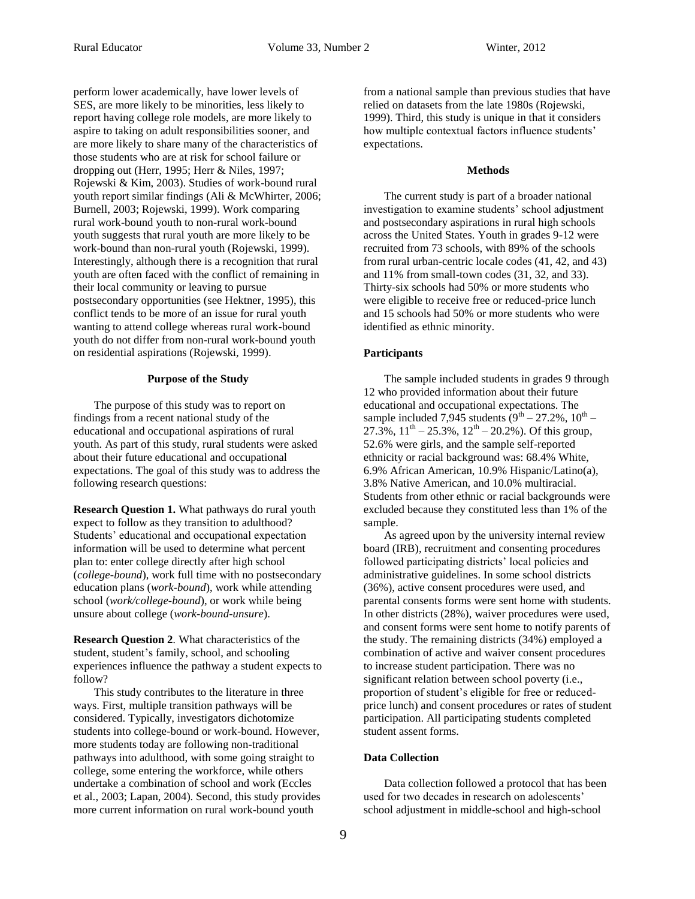perform lower academically, have lower levels of SES, are more likely to be minorities, less likely to report having college role models, are more likely to aspire to taking on adult responsibilities sooner, and are more likely to share many of the characteristics of those students who are at risk for school failure or dropping out (Herr, 1995; Herr & Niles, 1997; Rojewski & Kim, 2003). Studies of work-bound rural youth report similar findings (Ali & McWhirter, 2006; Burnell, 2003; Rojewski, 1999). Work comparing rural work-bound youth to non-rural work-bound youth suggests that rural youth are more likely to be work-bound than non-rural youth (Rojewski, 1999). Interestingly, although there is a recognition that rural youth are often faced with the conflict of remaining in their local community or leaving to pursue postsecondary opportunities (see Hektner, 1995), this conflict tends to be more of an issue for rural youth wanting to attend college whereas rural work-bound youth do not differ from non-rural work-bound youth on residential aspirations (Rojewski, 1999).

#### **Purpose of the Study**

The purpose of this study was to report on findings from a recent national study of the educational and occupational aspirations of rural youth. As part of this study, rural students were asked about their future educational and occupational expectations. The goal of this study was to address the following research questions:

**Research Question 1.** What pathways do rural youth expect to follow as they transition to adulthood? Students' educational and occupational expectation information will be used to determine what percent plan to: enter college directly after high school (*college-bound*), work full time with no postsecondary education plans (*work-bound*), work while attending school (*work/college-bound*), or work while being unsure about college (*work-bound-unsure*).

**Research Question 2***.* What characteristics of the student, student's family, school, and schooling experiences influence the pathway a student expects to follow?

This study contributes to the literature in three ways. First, multiple transition pathways will be considered. Typically, investigators dichotomize students into college-bound or work-bound. However, more students today are following non-traditional pathways into adulthood, with some going straight to college, some entering the workforce, while others undertake a combination of school and work (Eccles et al., 2003; Lapan, 2004). Second, this study provides more current information on rural work-bound youth

from a national sample than previous studies that have relied on datasets from the late 1980s (Rojewski, 1999). Third, this study is unique in that it considers how multiple contextual factors influence students' expectations.

#### **Methods**

The current study is part of a broader national investigation to examine students' school adjustment and postsecondary aspirations in rural high schools across the United States. Youth in grades 9-12 were recruited from 73 schools, with 89% of the schools from rural urban-centric locale codes (41, 42, and 43) and 11% from small-town codes (31, 32, and 33). Thirty-six schools had 50% or more students who were eligible to receive free or reduced-price lunch and 15 schools had 50% or more students who were identified as ethnic minority.

#### **Participants**

The sample included students in grades 9 through 12 who provided information about their future educational and occupational expectations. The sample included 7,945 students  $(9<sup>th</sup> – 27.2\%, 10<sup>th</sup> –$ 27.3%,  $11^{\text{th}} - 25.3\%$ ,  $12^{\text{th}} - 20.2\%$ ). Of this group, 52.6% were girls, and the sample self-reported ethnicity or racial background was: 68.4% White, 6.9% African American, 10.9% Hispanic/Latino(a), 3.8% Native American, and 10.0% multiracial. Students from other ethnic or racial backgrounds were excluded because they constituted less than 1% of the sample.

As agreed upon by the university internal review board (IRB), recruitment and consenting procedures followed participating districts' local policies and administrative guidelines. In some school districts (36%), active consent procedures were used, and parental consents forms were sent home with students. In other districts (28%), waiver procedures were used, and consent forms were sent home to notify parents of the study. The remaining districts (34%) employed a combination of active and waiver consent procedures to increase student participation. There was no significant relation between school poverty (i.e., proportion of student's eligible for free or reducedprice lunch) and consent procedures or rates of student participation. All participating students completed student assent forms.

#### **Data Collection**

Data collection followed a protocol that has been used for two decades in research on adolescents' school adjustment in middle-school and high-school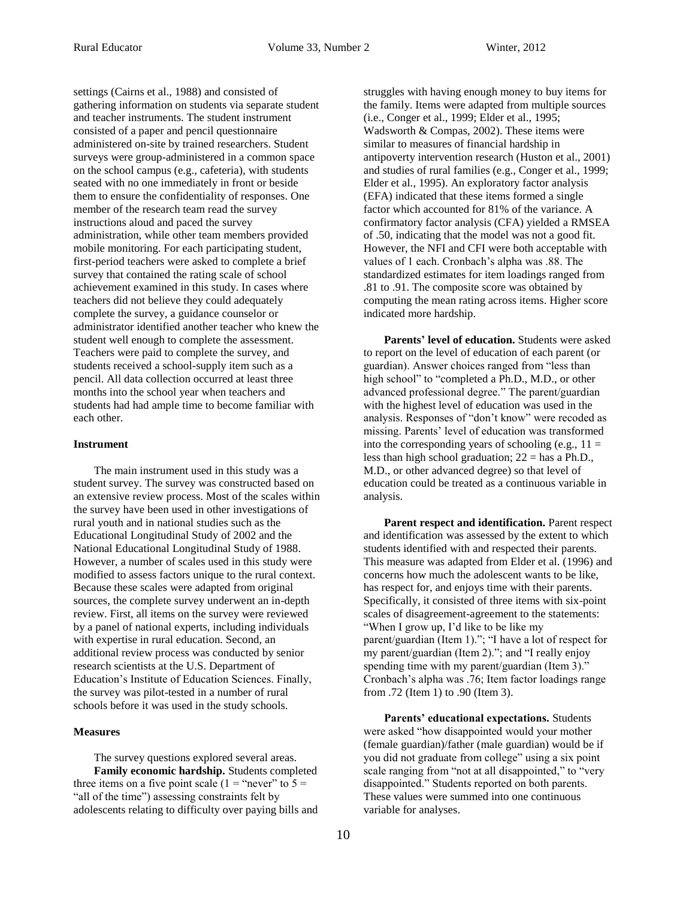settings (Cairns et al., 1988) and consisted of gathering information on students via separate student and teacher instruments. The student instrument consisted of a paper and pencil questionnaire administered on-site by trained researchers. Student surveys were group-administered in a common space on the school campus (e.g., cafeteria), with students seated with no one immediately in front or beside them to ensure the confidentiality of responses. One member of the research team read the survey instructions aloud and paced the survey administration, while other team members provided mobile monitoring. For each participating student, first-period teachers were asked to complete a brief survey that contained the rating scale of school achievement examined in this study. In cases where teachers did not believe they could adequately complete the survey, a guidance counselor or administrator identified another teacher who knew the student well enough to complete the assessment. Teachers were paid to complete the survey, and students received a school-supply item such as a pencil. All data collection occurred at least three months into the school year when teachers and students had had ample time to become familiar with each other.

#### **Instrument**

The main instrument used in this study was a student survey. The survey was constructed based on an extensive review process. Most of the scales within the survey have been used in other investigations of rural youth and in national studies such as the Educational Longitudinal Study of 2002 and the National Educational Longitudinal Study of 1988. However, a number of scales used in this study were modified to assess factors unique to the rural context. Because these scales were adapted from original sources, the complete survey underwent an in-depth review. First, all items on the survey were reviewed by a panel of national experts, including individuals with expertise in rural education. Second, an additional review process was conducted by senior research scientists at the U.S. Department of Education's Institute of Education Sciences. Finally, the survey was pilot-tested in a number of rural schools before it was used in the study schools.

#### **Measures**

The survey questions explored several areas. **Family economic hardship.** Students completed three items on a five point scale (1 = "never" to  $5 =$ "all of the time") assessing constraints felt by adolescents relating to difficulty over paying bills and struggles with having enough money to buy items for the family. Items were adapted from multiple sources (i.e., Conger et al., 1999; Elder et al., 1995; Wadsworth & Compas, 2002). These items were similar to measures of financial hardship in antipoverty intervention research (Huston et al., 2001) and studies of rural families (e.g., Conger et al., 1999; Elder et al., 1995). An exploratory factor analysis (EFA) indicated that these items formed a single factor which accounted for 81% of the variance. A confirmatory factor analysis (CFA) yielded a RMSEA of .50, indicating that the model was not a good fit. However, the NFI and CFI were both acceptable with values of 1 each. Cronbach's alpha was .88. The standardized estimates for item loadings ranged from .81 to .91. The composite score was obtained by computing the mean rating across items. Higher score indicated more hardship.

**Parents' level of education.** Students were asked to report on the level of education of each parent (or guardian). Answer choices ranged from "less than high school" to "completed a Ph.D., M.D., or other advanced professional degree." The parent/guardian with the highest level of education was used in the analysis. Responses of "don't know" were recoded as missing. Parents' level of education was transformed into the corresponding years of schooling (e.g.,  $11 =$ less than high school graduation;  $22 =$  has a Ph.D., M.D., or other advanced degree) so that level of education could be treated as a continuous variable in analysis.

**Parent respect and identification.** Parent respect and identification was assessed by the extent to which students identified with and respected their parents. This measure was adapted from Elder et al. (1996) and concerns how much the adolescent wants to be like, has respect for, and enjoys time with their parents. Specifically, it consisted of three items with six-point scales of disagreement-agreement to the statements: "When I grow up, I'd like to be like my parent/guardian (Item 1)."; "I have a lot of respect for my parent/guardian (Item 2)."; and "I really enjoy spending time with my parent/guardian (Item 3)." Cronbach's alpha was .76; Item factor loadings range from .72 (Item 1) to .90 (Item 3).

**Parents' educational expectations.** Students were asked "how disappointed would your mother (female guardian)/father (male guardian) would be if you did not graduate from college" using a six point scale ranging from "not at all disappointed," to "very disappointed." Students reported on both parents. These values were summed into one continuous variable for analyses.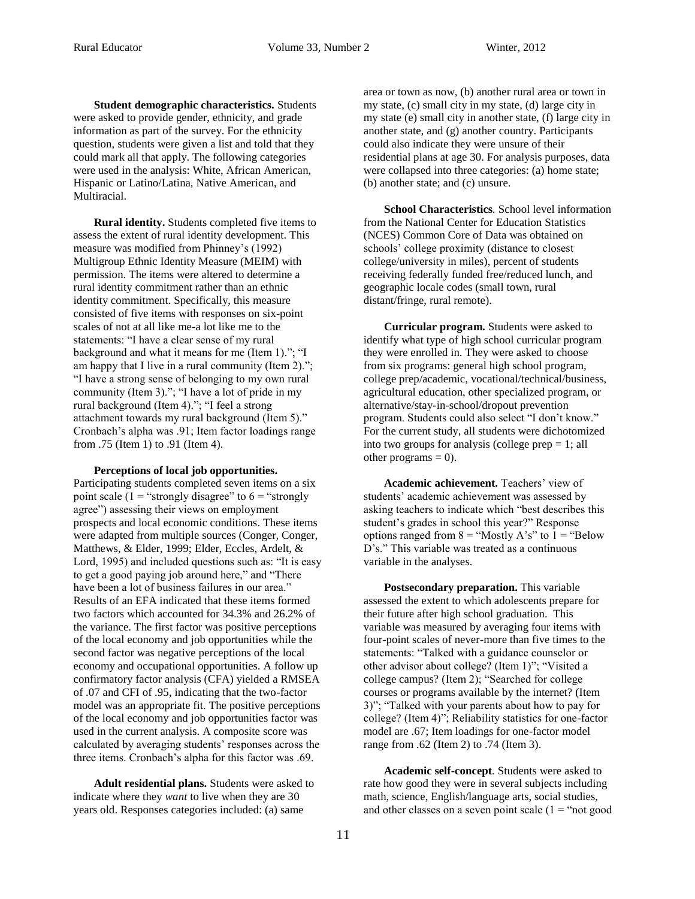**Student demographic characteristics.** Students were asked to provide gender, ethnicity, and grade information as part of the survey. For the ethnicity question, students were given a list and told that they could mark all that apply. The following categories were used in the analysis: White, African American, Hispanic or Latino/Latina, Native American, and Multiracial.

**Rural identity.** Students completed five items to assess the extent of rural identity development. This measure was modified from Phinney's (1992) Multigroup Ethnic Identity Measure (MEIM) with permission. The items were altered to determine a rural identity commitment rather than an ethnic identity commitment. Specifically, this measure consisted of five items with responses on six-point scales of not at all like me-a lot like me to the statements: "I have a clear sense of my rural background and what it means for me (Item 1)."; "I am happy that I live in a rural community (Item 2)."; "I have a strong sense of belonging to my own rural community (Item 3)."; "I have a lot of pride in my rural background (Item 4)."; "I feel a strong attachment towards my rural background (Item 5)." Cronbach's alpha was .91; Item factor loadings range from .75 (Item 1) to .91 (Item 4).

#### **Perceptions of local job opportunities.**

Participating students completed seven items on a six point scale (1 = "strongly disagree" to  $6 =$  "strongly" agree") assessing their views on employment prospects and local economic conditions. These items were adapted from multiple sources (Conger, Conger, Matthews, & Elder, 1999; Elder, Eccles, Ardelt, & Lord, 1995) and included questions such as: "It is easy to get a good paying job around here," and "There have been a lot of business failures in our area." Results of an EFA indicated that these items formed two factors which accounted for 34.3% and 26.2% of the variance. The first factor was positive perceptions of the local economy and job opportunities while the second factor was negative perceptions of the local economy and occupational opportunities. A follow up confirmatory factor analysis (CFA) yielded a RMSEA of .07 and CFI of .95, indicating that the two-factor model was an appropriate fit. The positive perceptions of the local economy and job opportunities factor was used in the current analysis. A composite score was calculated by averaging students' responses across the three items. Cronbach's alpha for this factor was .69.

**Adult residential plans.** Students were asked to indicate where they *want* to live when they are 30 years old. Responses categories included: (a) same

area or town as now, (b) another rural area or town in my state, (c) small city in my state, (d) large city in my state (e) small city in another state, (f) large city in another state, and (g) another country. Participants could also indicate they were unsure of their residential plans at age 30. For analysis purposes, data were collapsed into three categories: (a) home state; (b) another state; and (c) unsure.

**School Characteristics***.* School level information from the National Center for Education Statistics (NCES) Common Core of Data was obtained on schools' college proximity (distance to closest college/university in miles), percent of students receiving federally funded free/reduced lunch, and geographic locale codes (small town, rural distant/fringe, rural remote).

**Curricular program.** Students were asked to identify what type of high school curricular program they were enrolled in. They were asked to choose from six programs: general high school program, college prep/academic, vocational/technical/business, agricultural education, other specialized program, or alternative/stay-in-school/dropout prevention program. Students could also select "I don't know." For the current study, all students were dichotomized into two groups for analysis (college prep  $= 1$ ; all other programs  $= 0$ ).

**Academic achievement.** Teachers' view of students' academic achievement was assessed by asking teachers to indicate which "best describes this student's grades in school this year?" Response options ranged from  $8 =$  "Mostly A's" to  $1 =$  "Below D's." This variable was treated as a continuous variable in the analyses.

**Postsecondary preparation.** This variable assessed the extent to which adolescents prepare for their future after high school graduation. This variable was measured by averaging four items with four-point scales of never-more than five times to the statements: "Talked with a guidance counselor or other advisor about college? (Item 1)"; "Visited a college campus? (Item 2); "Searched for college courses or programs available by the internet? (Item 3)"; "Talked with your parents about how to pay for college? (Item 4)"; Reliability statistics for one-factor model are .67; Item loadings for one-factor model range from .62 (Item 2) to .74 (Item 3).

**Academic self-concept***.* Students were asked to rate how good they were in several subjects including math, science, English/language arts, social studies, and other classes on a seven point scale  $(1 = "not good$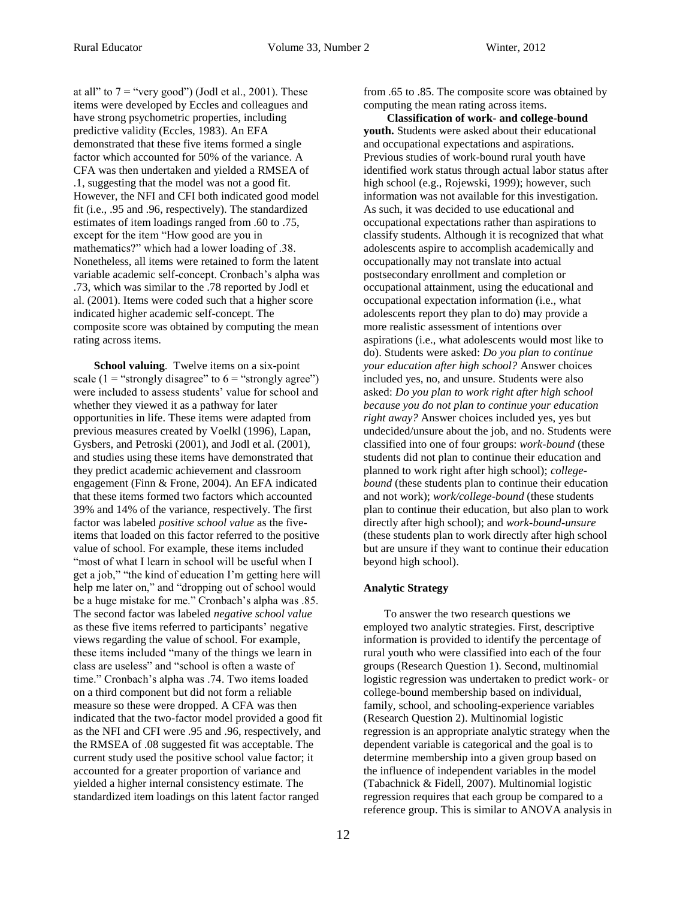at all" to  $7 =$  "very good") (Jodl et al., 2001). These items were developed by Eccles and colleagues and have strong psychometric properties, including predictive validity (Eccles, 1983). An EFA demonstrated that these five items formed a single factor which accounted for 50% of the variance. A CFA was then undertaken and yielded a RMSEA of .1, suggesting that the model was not a good fit. However, the NFI and CFI both indicated good model fit (i.e., .95 and .96, respectively). The standardized estimates of item loadings ranged from .60 to .75, except for the item "How good are you in mathematics?" which had a lower loading of .38. Nonetheless, all items were retained to form the latent variable academic self-concept. Cronbach's alpha was .73, which was similar to the .78 reported by Jodl et al. (2001). Items were coded such that a higher score indicated higher academic self-concept. The composite score was obtained by computing the mean rating across items.

**School valuing***.* Twelve items on a six-point scale (1 = "strongly disagree" to  $6 =$  "strongly agree") were included to assess students' value for school and whether they viewed it as a pathway for later opportunities in life. These items were adapted from previous measures created by Voelkl (1996), Lapan, Gysbers, and Petroski (2001), and Jodl et al. (2001), and studies using these items have demonstrated that they predict academic achievement and classroom engagement (Finn & Frone, 2004). An EFA indicated that these items formed two factors which accounted 39% and 14% of the variance, respectively. The first factor was labeled *positive school value* as the fiveitems that loaded on this factor referred to the positive value of school. For example, these items included "most of what I learn in school will be useful when I get a job," "the kind of education I'm getting here will help me later on," and "dropping out of school would be a huge mistake for me." Cronbach's alpha was .85. The second factor was labeled *negative school value* as these five items referred to participants' negative views regarding the value of school. For example, these items included "many of the things we learn in class are useless" and "school is often a waste of time." Cronbach's alpha was .74. Two items loaded on a third component but did not form a reliable measure so these were dropped. A CFA was then indicated that the two-factor model provided a good fit as the NFI and CFI were .95 and .96, respectively, and the RMSEA of .08 suggested fit was acceptable. The current study used the positive school value factor; it accounted for a greater proportion of variance and yielded a higher internal consistency estimate. The standardized item loadings on this latent factor ranged

from .65 to .85. The composite score was obtained by computing the mean rating across items.

**Classification of work- and college-bound youth.** Students were asked about their educational and occupational expectations and aspirations. Previous studies of work-bound rural youth have identified work status through actual labor status after high school (e.g., Rojewski, 1999); however, such information was not available for this investigation. As such, it was decided to use educational and occupational expectations rather than aspirations to classify students. Although it is recognized that what adolescents aspire to accomplish academically and occupationally may not translate into actual postsecondary enrollment and completion or occupational attainment, using the educational and occupational expectation information (i.e., what adolescents report they plan to do) may provide a more realistic assessment of intentions over aspirations (i.e., what adolescents would most like to do). Students were asked: *Do you plan to continue your education after high school?* Answer choices included yes, no, and unsure. Students were also asked: *Do you plan to work right after high school because you do not plan to continue your education right away?* Answer choices included yes, yes but undecided/unsure about the job, and no. Students were classified into one of four groups: *work-bound* (these students did not plan to continue their education and planned to work right after high school); *collegebound* (these students plan to continue their education and not work); *work/college-bound* (these students plan to continue their education, but also plan to work directly after high school); and *work-bound-unsure*  (these students plan to work directly after high school but are unsure if they want to continue their education beyond high school).

#### **Analytic Strategy**

To answer the two research questions we employed two analytic strategies. First, descriptive information is provided to identify the percentage of rural youth who were classified into each of the four groups (Research Question 1). Second, multinomial logistic regression was undertaken to predict work- or college-bound membership based on individual, family, school, and schooling-experience variables (Research Question 2). Multinomial logistic regression is an appropriate analytic strategy when the dependent variable is categorical and the goal is to determine membership into a given group based on the influence of independent variables in the model (Tabachnick & Fidell, 2007). Multinomial logistic regression requires that each group be compared to a reference group. This is similar to ANOVA analysis in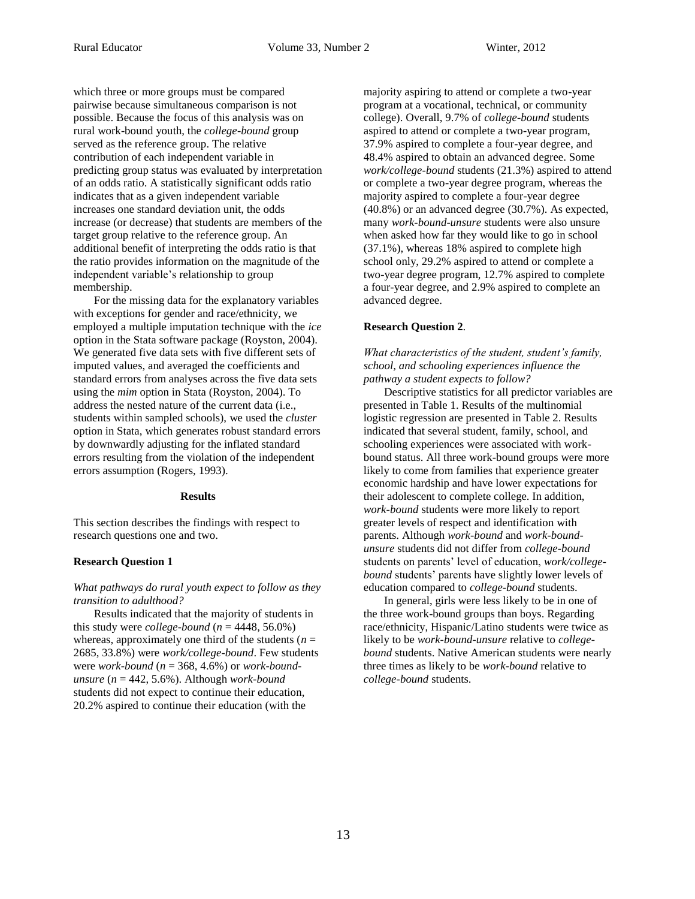which three or more groups must be compared pairwise because simultaneous comparison is not possible. Because the focus of this analysis was on rural work-bound youth, the *college-bound* group served as the reference group. The relative contribution of each independent variable in predicting group status was evaluated by interpretation of an odds ratio. A statistically significant odds ratio indicates that as a given independent variable increases one standard deviation unit, the odds increase (or decrease) that students are members of the target group relative to the reference group. An additional benefit of interpreting the odds ratio is that the ratio provides information on the magnitude of the independent variable's relationship to group membership.

For the missing data for the explanatory variables with exceptions for gender and race/ethnicity, we employed a multiple imputation technique with the *ice* option in the Stata software package (Royston, 2004). We generated five data sets with five different sets of imputed values, and averaged the coefficients and standard errors from analyses across the five data sets using the *mim* option in Stata (Royston, 2004). To address the nested nature of the current data (i.e., students within sampled schools), we used the *cluster*  option in Stata, which generates robust standard errors by downwardly adjusting for the inflated standard errors resulting from the violation of the independent errors assumption (Rogers, 1993).

#### **Results**

This section describes the findings with respect to research questions one and two.

#### **Research Question 1**

#### *What pathways do rural youth expect to follow as they transition to adulthood?*

Results indicated that the majority of students in this study were *college-bound*  $(n = 4448, 56.0\%)$ whereas, approximately one third of the students ( $n =$ 2685, 33.8%) were *work/college-bound*. Few students were *work-bound* (*n* = 368, 4.6%) or *work-boundunsure* (*n* = 442, 5.6%). Although *work-bound* students did not expect to continue their education, 20.2% aspired to continue their education (with the

majority aspiring to attend or complete a two-year program at a vocational, technical, or community college). Overall, 9.7% of *college-bound* students aspired to attend or complete a two-year program, 37.9% aspired to complete a four-year degree, and 48.4% aspired to obtain an advanced degree. Some *work/college-bound* students (21.3%) aspired to attend or complete a two-year degree program, whereas the majority aspired to complete a four-year degree (40.8%) or an advanced degree (30.7%). As expected, many *work-bound-unsure* students were also unsure when asked how far they would like to go in school (37.1%), whereas 18% aspired to complete high school only, 29.2% aspired to attend or complete a two-year degree program, 12.7% aspired to complete a four-year degree, and 2.9% aspired to complete an advanced degree.

#### **Research Question 2***.*

*What characteristics of the student, student's family, school, and schooling experiences influence the pathway a student expects to follow?* 

Descriptive statistics for all predictor variables are presented in Table 1. Results of the multinomial logistic regression are presented in Table 2. Results indicated that several student, family, school, and schooling experiences were associated with workbound status. All three work-bound groups were more likely to come from families that experience greater economic hardship and have lower expectations for their adolescent to complete college. In addition, *work-bound* students were more likely to report greater levels of respect and identification with parents. Although *work-bound* and *work-boundunsure* students did not differ from *college-bound*  students on parents' level of education, *work/collegebound* students' parents have slightly lower levels of education compared to *college-bound* students.

In general, girls were less likely to be in one of the three work-bound groups than boys. Regarding race/ethnicity, Hispanic/Latino students were twice as likely to be *work-bound-unsure* relative to *collegebound* students. Native American students were nearly three times as likely to be *work-bound* relative to *college-bound* students.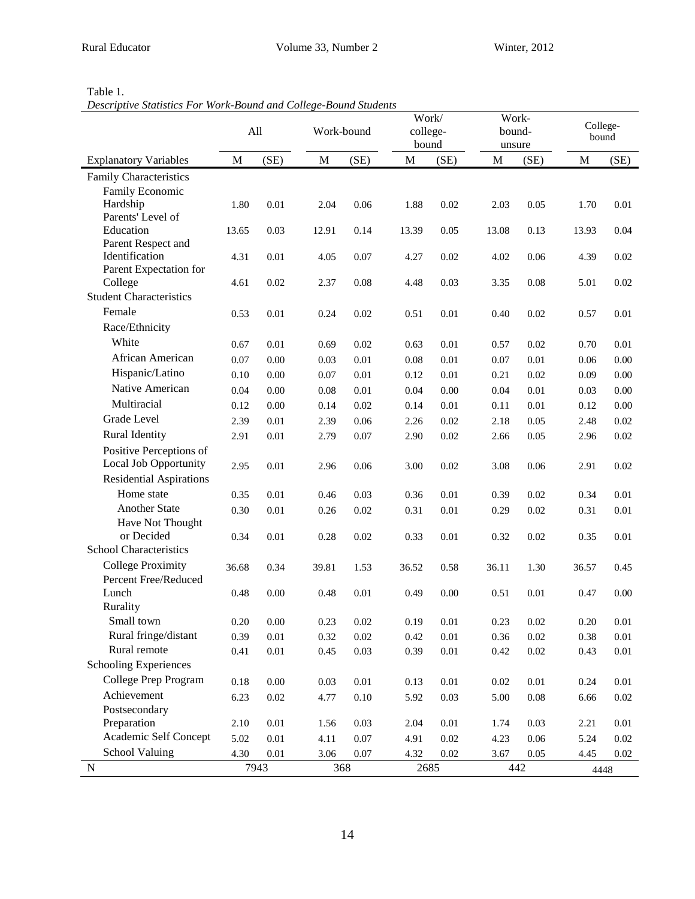| ١.<br>łГ |  |  |
|----------|--|--|
|----------|--|--|

*Descriptive Statistics For Work-Bound and College-Bound Students*

|                                                  | All         |          |       | Work-bound | Work/<br>college-<br>bound |          | Work-<br>bound-<br>unsure |          | College-<br>bound |          |
|--------------------------------------------------|-------------|----------|-------|------------|----------------------------|----------|---------------------------|----------|-------------------|----------|
| <b>Explanatory Variables</b>                     | $\mathbf M$ | (SE)     | M     | (SE)       | $\mathbf M$                | (SE)     | M                         | (SE)     | $\mathbf M$       | (SE)     |
| Family Characteristics                           |             |          |       |            |                            |          |                           |          |                   |          |
| Family Economic                                  |             |          |       |            |                            |          |                           |          |                   |          |
| Hardship                                         | 1.80        | 0.01     | 2.04  | 0.06       | 1.88                       | 0.02     | 2.03                      | 0.05     | 1.70              | 0.01     |
| Parents' Level of                                |             |          |       |            |                            |          |                           |          |                   |          |
| Education                                        | 13.65       | 0.03     | 12.91 | 0.14       | 13.39                      | 0.05     | 13.08                     | 0.13     | 13.93             | 0.04     |
| Parent Respect and<br>Identification             | 4.31        | 0.01     |       | 0.07       | 4.27                       |          | 4.02                      | 0.06     | 4.39              |          |
| Parent Expectation for                           |             |          | 4.05  |            |                            | 0.02     |                           |          |                   | 0.02     |
| College                                          | 4.61        | 0.02     | 2.37  | 0.08       | 4.48                       | 0.03     | 3.35                      | 0.08     | 5.01              | 0.02     |
| <b>Student Characteristics</b>                   |             |          |       |            |                            |          |                           |          |                   |          |
| Female                                           | 0.53        | 0.01     | 0.24  | 0.02       | 0.51                       | 0.01     | 0.40                      | 0.02     | 0.57              | 0.01     |
| Race/Ethnicity                                   |             |          |       |            |                            |          |                           |          |                   |          |
| White                                            | 0.67        | 0.01     | 0.69  | 0.02       | 0.63                       | 0.01     | 0.57                      | 0.02     | 0.70              | 0.01     |
| African American                                 | 0.07        | $0.00\,$ | 0.03  | 0.01       | 0.08                       | 0.01     | 0.07                      | $0.01\,$ | 0.06              | 0.00     |
| Hispanic/Latino                                  | 0.10        | $0.00\,$ | 0.07  | 0.01       |                            | 0.01     | 0.21                      | 0.02     | 0.09              | 0.00     |
| Native American                                  |             |          |       |            | 0.12                       |          |                           |          |                   |          |
| Multiracial                                      | 0.04        | 0.00     | 0.08  | 0.01       | 0.04                       | 0.00     | 0.04                      | $0.01\,$ | 0.03              | 0.00     |
| Grade Level                                      | 0.12        | 0.00     | 0.14  | 0.02       | 0.14                       | $0.01\,$ | 0.11                      | $0.01\,$ | 0.12              | 0.00     |
|                                                  | 2.39        | 0.01     | 2.39  | 0.06       | 2.26                       | 0.02     | 2.18                      | 0.05     | 2.48              | 0.02     |
| Rural Identity                                   | 2.91        | 0.01     | 2.79  | 0.07       | 2.90                       | 0.02     | 2.66                      | 0.05     | 2.96              | 0.02     |
| Positive Perceptions of<br>Local Job Opportunity |             |          |       |            |                            |          |                           |          |                   |          |
|                                                  | 2.95        | 0.01     | 2.96  | 0.06       | 3.00                       | 0.02     | 3.08                      | 0.06     | 2.91              | 0.02     |
| <b>Residential Aspirations</b><br>Home state     |             |          |       |            |                            |          |                           |          |                   |          |
| <b>Another State</b>                             | 0.35        | 0.01     | 0.46  | 0.03       | 0.36                       | 0.01     | 0.39                      | 0.02     | 0.34              | 0.01     |
| Have Not Thought                                 | 0.30        | 0.01     | 0.26  | 0.02       | 0.31                       | 0.01     | 0.29                      | 0.02     | 0.31              | 0.01     |
| or Decided                                       | 0.34        | 0.01     | 0.28  | 0.02       | 0.33                       | $0.01\,$ | 0.32                      | 0.02     | 0.35              | 0.01     |
| School Characteristics                           |             |          |       |            |                            |          |                           |          |                   |          |
| <b>College Proximity</b>                         | 36.68       | 0.34     | 39.81 | 1.53       | 36.52                      | 0.58     | 36.11                     | 1.30     | 36.57             | 0.45     |
| Percent Free/Reduced                             |             |          |       |            |                            |          |                           |          |                   |          |
| Lunch                                            | 0.48        | 0.00     | 0.48  | 0.01       | 0.49                       | 0.00     | 0.51                      | 0.01     | 0.47              | 0.00     |
| Rurality                                         |             |          |       |            |                            |          |                           |          |                   |          |
| Small town                                       | 0.20        | 0.00     | 0.23  | 0.02       | 0.19                       | $0.01\,$ | 0.23                      | 0.02     | 0.20              | 0.01     |
| Rural fringe/distant                             | 0.39        | 0.01     | 0.32  | 0.02       | 0.42                       | 0.01     | 0.36                      | 0.02     | 0.38              | 0.01     |
| Rural remote                                     | 0.41        | $0.01\,$ | 0.45  | 0.03       | 0.39                       | $0.01\,$ | 0.42                      | 0.02     | 0.43              | 0.01     |
| <b>Schooling Experiences</b>                     |             |          |       |            |                            |          |                           |          |                   |          |
| College Prep Program                             | 0.18        | $0.00\,$ | 0.03  | 0.01       | 0.13                       | $0.01\,$ | $0.02\,$                  | $0.01\,$ | 0.24              | 0.01     |
| Achievement                                      | 6.23        | 0.02     | 4.77  | 0.10       | 5.92                       | 0.03     | 5.00                      | 0.08     | 6.66              | $0.02\,$ |
| Postsecondary                                    |             |          |       |            |                            |          |                           |          |                   |          |
| Preparation                                      | 2.10        | $0.01\,$ | 1.56  | 0.03       | 2.04                       | $0.01\,$ | 1.74                      | 0.03     | 2.21              | $0.01\,$ |
| Academic Self Concept                            | 5.02        | 0.01     | 4.11  | 0.07       | 4.91                       | 0.02     | 4.23                      | 0.06     | 5.24              | 0.02     |
| School Valuing                                   | 4.30        | 0.01     | 3.06  | 0.07       | 4.32                       | 0.02     | 3.67                      | 0.05     | 4.45              | $0.02\,$ |
| N                                                |             | 7943     |       | 368        | 2685                       |          |                           | 442      | 4448              |          |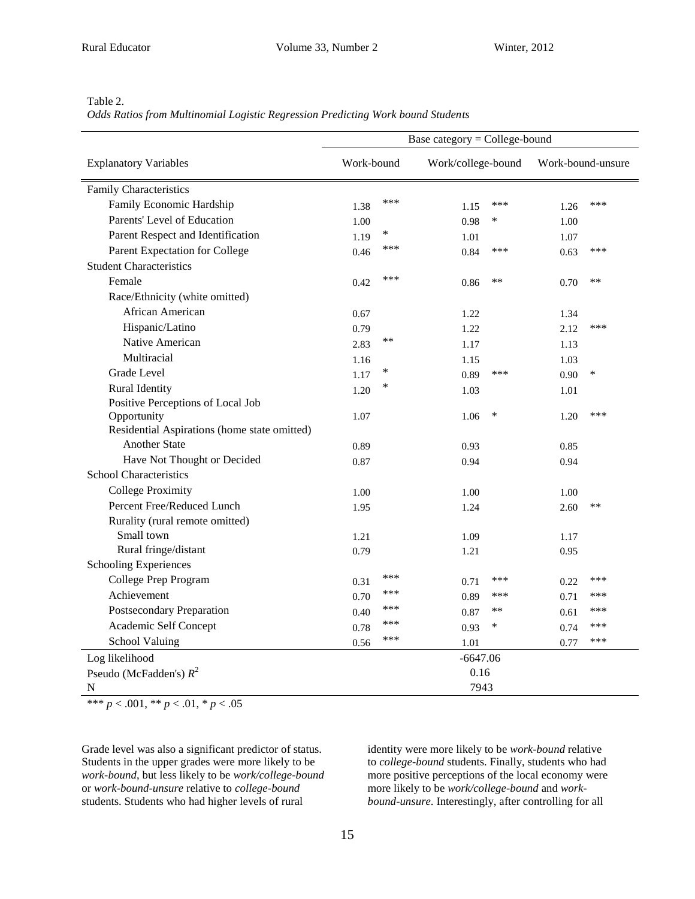| лF.<br>× |
|----------|
|----------|

*Odds Ratios from Multinomial Logistic Regression Predicting Work bound Students*

|                                              | Base category = College-bound |        |                    |        |                   |       |  |  |
|----------------------------------------------|-------------------------------|--------|--------------------|--------|-------------------|-------|--|--|
| <b>Explanatory Variables</b>                 | Work-bound                    |        | Work/college-bound |        | Work-bound-unsure |       |  |  |
| <b>Family Characteristics</b>                |                               |        |                    |        |                   |       |  |  |
| Family Economic Hardship                     | 1.38                          | ***    | 1.15               | ***    | 1.26              | ***   |  |  |
| Parents' Level of Education                  | 1.00                          |        | 0.98               | *      | 1.00              |       |  |  |
| Parent Respect and Identification            | 1.19                          | $\ast$ | 1.01               |        | 1.07              |       |  |  |
| Parent Expectation for College               | 0.46                          | ***    | 0.84               | ***    | 0.63              | ***   |  |  |
| <b>Student Characteristics</b>               |                               |        |                    |        |                   |       |  |  |
| Female                                       | 0.42                          | ***    | 0.86               | **     | 0.70              | **    |  |  |
| Race/Ethnicity (white omitted)               |                               |        |                    |        |                   |       |  |  |
| African American                             | 0.67                          |        | 1.22               |        | 1.34              |       |  |  |
| Hispanic/Latino                              | 0.79                          |        | 1.22               |        | 2.12              | ***   |  |  |
| Native American                              | 2.83                          | **     | 1.17               |        | 1.13              |       |  |  |
| Multiracial                                  | 1.16                          |        | 1.15               |        | 1.03              |       |  |  |
| Grade Level                                  | 1.17                          | $\ast$ | 0.89               | ***    | 0.90              | ∗     |  |  |
| Rural Identity                               | 1.20                          | ∗      | 1.03               |        | 1.01              |       |  |  |
| Positive Perceptions of Local Job            |                               |        |                    |        |                   |       |  |  |
| Opportunity                                  | 1.07                          |        | 1.06               | $\ast$ | 1.20              | ***   |  |  |
| Residential Aspirations (home state omitted) |                               |        |                    |        |                   |       |  |  |
| <b>Another State</b>                         | 0.89                          |        | 0.93               |        | 0.85              |       |  |  |
| Have Not Thought or Decided                  | 0.87                          |        | 0.94               |        | 0.94              |       |  |  |
| <b>School Characteristics</b>                |                               |        |                    |        |                   |       |  |  |
| <b>College Proximity</b>                     | 1.00                          |        | 1.00               |        | 1.00              |       |  |  |
| Percent Free/Reduced Lunch                   | 1.95                          |        | 1.24               |        | 2.60              | $***$ |  |  |
| Rurality (rural remote omitted)              |                               |        |                    |        |                   |       |  |  |
| Small town                                   | 1.21                          |        | 1.09               |        | 1.17              |       |  |  |
| Rural fringe/distant                         | 0.79                          |        | 1.21               |        | 0.95              |       |  |  |
| <b>Schooling Experiences</b>                 |                               |        |                    |        |                   |       |  |  |
| College Prep Program                         | 0.31                          | ***    | 0.71               | ***    | 0.22              | ***   |  |  |
| Achievement                                  | 0.70                          | ***    | 0.89               | ***    | 0.71              | ***   |  |  |
| <b>Postsecondary Preparation</b>             | 0.40                          | ***    | 0.87               | $***$  | 0.61              | ***   |  |  |
| Academic Self Concept                        | 0.78                          | ***    | 0.93               | *      | 0.74              | ***   |  |  |
| School Valuing                               | 0.56                          | ***    | 1.01               |        | 0.77              | ***   |  |  |
| Log likelihood                               |                               |        | $-6647.06$         |        |                   |       |  |  |
| Pseudo (McFadden's) $R^2$                    |                               |        | 0.16               |        |                   |       |  |  |
| N                                            |                               |        | 7943               |        |                   |       |  |  |

\*\*\* *p* < .001, \*\* *p* < .01, \* *p* < .05

Grade level was also a significant predictor of status. Students in the upper grades were more likely to be *work-bound*, but less likely to be *work/college-bound* or *work-bound-unsure* relative to *college-bound* students. Students who had higher levels of rural

identity were more likely to be *work-bound* relative to *college-bound* students. Finally, students who had more positive perceptions of the local economy were more likely to be *work/college-bound* and *workbound-unsure*. Interestingly, after controlling for all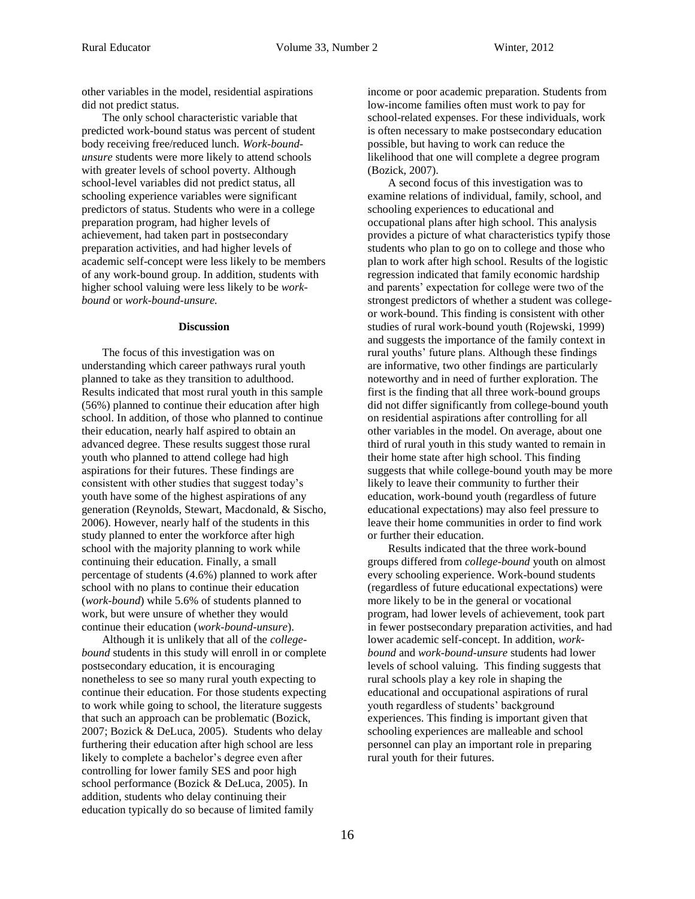other variables in the model, residential aspirations did not predict status.

The only school characteristic variable that predicted work-bound status was percent of student body receiving free/reduced lunch. *Work-boundunsure* students were more likely to attend schools with greater levels of school poverty. Although school-level variables did not predict status, all schooling experience variables were significant predictors of status. Students who were in a college preparation program, had higher levels of achievement, had taken part in postsecondary preparation activities, and had higher levels of academic self-concept were less likely to be members of any work-bound group. In addition, students with higher school valuing were less likely to be *workbound* or *work-bound-unsure.*

#### **Discussion**

The focus of this investigation was on understanding which career pathways rural youth planned to take as they transition to adulthood. Results indicated that most rural youth in this sample (56%) planned to continue their education after high school. In addition, of those who planned to continue their education, nearly half aspired to obtain an advanced degree. These results suggest those rural youth who planned to attend college had high aspirations for their futures. These findings are consistent with other studies that suggest today's youth have some of the highest aspirations of any generation (Reynolds, Stewart, Macdonald, & Sischo, 2006). However, nearly half of the students in this study planned to enter the workforce after high school with the majority planning to work while continuing their education. Finally, a small percentage of students (4.6%) planned to work after school with no plans to continue their education (*work-bound*) while 5.6% of students planned to work, but were unsure of whether they would continue their education (*work-bound-unsure*).

Although it is unlikely that all of the *collegebound* students in this study will enroll in or complete postsecondary education, it is encouraging nonetheless to see so many rural youth expecting to continue their education. For those students expecting to work while going to school, the literature suggests that such an approach can be problematic (Bozick, 2007; Bozick & DeLuca, 2005). Students who delay furthering their education after high school are less likely to complete a bachelor's degree even after controlling for lower family SES and poor high school performance (Bozick & DeLuca, 2005). In addition, students who delay continuing their education typically do so because of limited family

income or poor academic preparation. Students from low-income families often must work to pay for school-related expenses. For these individuals, work is often necessary to make postsecondary education possible, but having to work can reduce the likelihood that one will complete a degree program (Bozick, 2007).

A second focus of this investigation was to examine relations of individual, family, school, and schooling experiences to educational and occupational plans after high school. This analysis provides a picture of what characteristics typify those students who plan to go on to college and those who plan to work after high school. Results of the logistic regression indicated that family economic hardship and parents' expectation for college were two of the strongest predictors of whether a student was collegeor work-bound. This finding is consistent with other studies of rural work-bound youth (Rojewski, 1999) and suggests the importance of the family context in rural youths' future plans. Although these findings are informative, two other findings are particularly noteworthy and in need of further exploration. The first is the finding that all three work-bound groups did not differ significantly from college-bound youth on residential aspirations after controlling for all other variables in the model. On average, about one third of rural youth in this study wanted to remain in their home state after high school. This finding suggests that while college-bound youth may be more likely to leave their community to further their education, work-bound youth (regardless of future educational expectations) may also feel pressure to leave their home communities in order to find work or further their education.

Results indicated that the three work-bound groups differed from *college-bound* youth on almost every schooling experience. Work-bound students (regardless of future educational expectations) were more likely to be in the general or vocational program, had lower levels of achievement, took part in fewer postsecondary preparation activities, and had lower academic self-concept. In addition, *workbound* and *work-bound-unsure* students had lower levels of school valuing. This finding suggests that rural schools play a key role in shaping the educational and occupational aspirations of rural youth regardless of students' background experiences. This finding is important given that schooling experiences are malleable and school personnel can play an important role in preparing rural youth for their futures.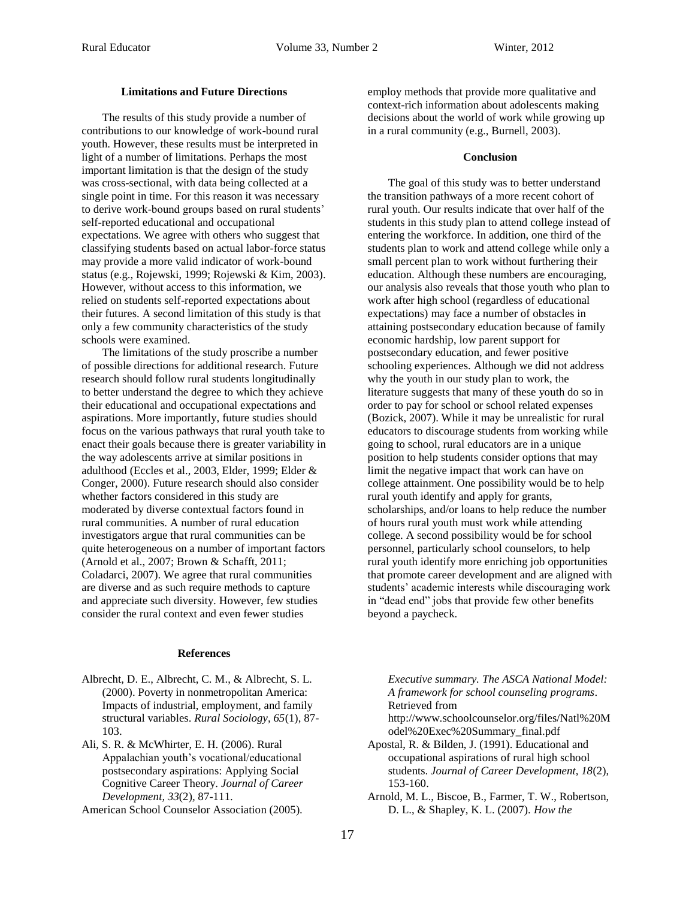#### **Limitations and Future Directions**

The results of this study provide a number of contributions to our knowledge of work-bound rural youth. However, these results must be interpreted in light of a number of limitations. Perhaps the most important limitation is that the design of the study was cross-sectional, with data being collected at a single point in time. For this reason it was necessary to derive work-bound groups based on rural students' self-reported educational and occupational expectations. We agree with others who suggest that classifying students based on actual labor-force status may provide a more valid indicator of work-bound status (e.g., Rojewski, 1999; Rojewski & Kim, 2003). However, without access to this information, we relied on students self-reported expectations about their futures. A second limitation of this study is that only a few community characteristics of the study schools were examined.

The limitations of the study proscribe a number of possible directions for additional research. Future research should follow rural students longitudinally to better understand the degree to which they achieve their educational and occupational expectations and aspirations. More importantly, future studies should focus on the various pathways that rural youth take to enact their goals because there is greater variability in the way adolescents arrive at similar positions in adulthood (Eccles et al., 2003, Elder, 1999; Elder & Conger, 2000). Future research should also consider whether factors considered in this study are moderated by diverse contextual factors found in rural communities. A number of rural education investigators argue that rural communities can be quite heterogeneous on a number of important factors (Arnold et al., 2007; Brown & Schafft, 2011; Coladarci, 2007). We agree that rural communities are diverse and as such require methods to capture and appreciate such diversity. However, few studies consider the rural context and even fewer studies

#### **References**

- Albrecht, D. E., Albrecht, C. M., & Albrecht, S. L. (2000). Poverty in nonmetropolitan America: Impacts of industrial, employment, and family structural variables. *Rural Sociology, 65*(1), 87- 103.
- Ali, S. R. & McWhirter, E. H. (2006). Rural Appalachian youth's vocational/educational postsecondary aspirations: Applying Social Cognitive Career Theory. *Journal of Career Development, 33*(2)*,* 87-111.

American School Counselor Association (2005).

employ methods that provide more qualitative and context-rich information about adolescents making decisions about the world of work while growing up in a rural community (e.g., Burnell, 2003).

#### **Conclusion**

The goal of this study was to better understand the transition pathways of a more recent cohort of rural youth. Our results indicate that over half of the students in this study plan to attend college instead of entering the workforce. In addition, one third of the students plan to work and attend college while only a small percent plan to work without furthering their education. Although these numbers are encouraging, our analysis also reveals that those youth who plan to work after high school (regardless of educational expectations) may face a number of obstacles in attaining postsecondary education because of family economic hardship, low parent support for postsecondary education, and fewer positive schooling experiences. Although we did not address why the youth in our study plan to work, the literature suggests that many of these youth do so in order to pay for school or school related expenses (Bozick, 2007). While it may be unrealistic for rural educators to discourage students from working while going to school, rural educators are in a unique position to help students consider options that may limit the negative impact that work can have on college attainment. One possibility would be to help rural youth identify and apply for grants, scholarships, and/or loans to help reduce the number of hours rural youth must work while attending college. A second possibility would be for school personnel, particularly school counselors, to help rural youth identify more enriching job opportunities that promote career development and are aligned with students' academic interests while discouraging work in "dead end" jobs that provide few other benefits beyond a paycheck.

*Executive summary. The ASCA National Model: A framework for school counseling programs*. Retrieved from

http://www.schoolcounselor.org/files/Natl%20M odel%20Exec%20Summary\_final.pdf

- Apostal, R. & Bilden, J. (1991). Educational and occupational aspirations of rural high school students. *Journal of Career Development, 18*(2), 153-160.
- Arnold, M. L., Biscoe, B., Farmer, T. W., Robertson, D. L., & Shapley, K. L. (2007). *How the*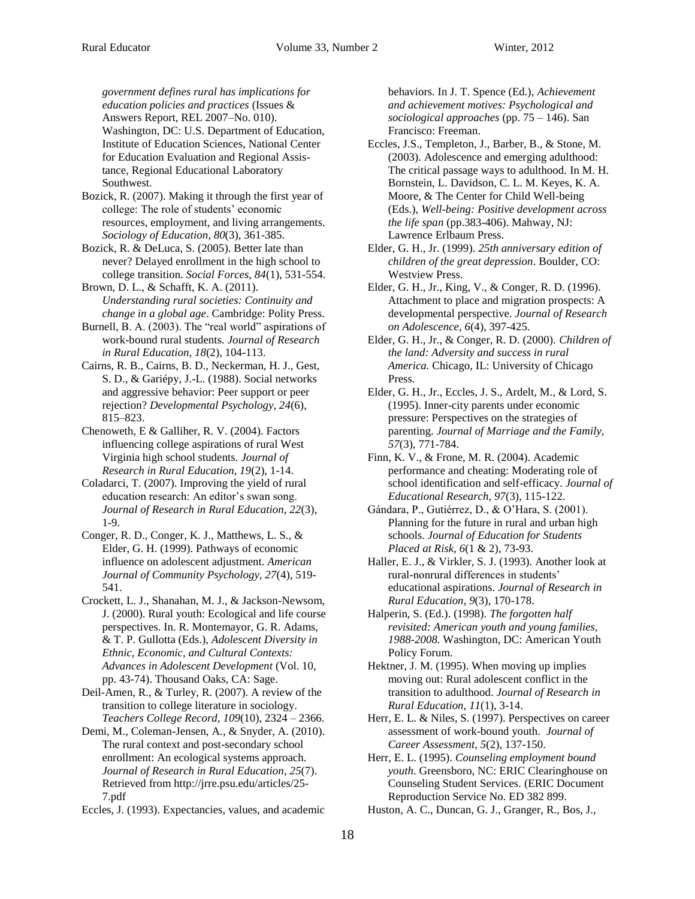*government defines rural has implications for education policies and practices* (Issues & Answers Report, REL 2007–No. 010). Washington, DC: U.S. Department of Education, Institute of Education Sciences, National Center for Education Evaluation and Regional Assistance, Regional Educational Laboratory Southwest.

Bozick, R. (2007). Making it through the first year of college: The role of students' economic resources, employment, and living arrangements. *Sociology of Education*, *80*(3), 361-385.

Bozick, R. & DeLuca, S. (2005). Better late than never? Delayed enrollment in the high school to college transition. *Social Forces, 84*(1), 531-554.

Brown, D. L., & Schafft, K. A. (2011). *Understanding rural societies: Continuity and change in a global age*. Cambridge: Polity Press.

Burnell, B. A. (2003). The "real world" aspirations of work-bound rural students. *Journal of Research in Rural Education, 18*(2), 104-113.

Cairns, R. B., Cairns, B. D., Neckerman, H. J., Gest, S. D., & Gariépy, J.-L. (1988). Social networks and aggressive behavior: Peer support or peer rejection? *Developmental Psychology, 24*(6)*,*  815–823.

Chenoweth, E & Galliher, R. V. (2004). Factors influencing college aspirations of rural West Virginia high school students. *Journal of Research in Rural Education, 19*(2), 1-14.

Coladarci, T. (2007). Improving the yield of rural education research: An editor's swan song. *Journal of Research in Rural Education, 22*(3), 1-9.

Conger, R. D., Conger, K. J., Matthews, L. S., & Elder, G. H. (1999). Pathways of economic influence on adolescent adjustment. *American Journal of Community Psychology, 27*(4), 519- 541.

Crockett, L. J., Shanahan, M. J., & Jackson-Newsom, J. (2000). Rural youth: Ecological and life course perspectives. In. R. Montemayor, G. R. Adams, & T. P. Gullotta (Eds.), *Adolescent Diversity in Ethnic, Economic, and Cultural Contexts: Advances in Adolescent Development* (Vol. 10, pp. 43-74). Thousand Oaks, CA: Sage.

Deil-Amen, R., & Turley, R. (2007). A review of the transition to college literature in sociology. *Teachers College Record, 109*(10), 2324 – 2366.

Demi, M., Coleman-Jensen, A., & Snyder, A. (2010). The rural context and post-secondary school enrollment: An ecological systems approach. *Journal of Research in Rural Education*, *25*(7). Retrieved from http://jrre.psu.edu/articles/25- 7.pdf

Eccles, J. (1993). Expectancies, values, and academic

behaviors. In J. T. Spence (Ed.), *Achievement and achievement motives: Psychological and sociological approaches* (pp. 75 – 146). San Francisco: Freeman.

Eccles, J.S., Templeton, J., Barber, B., & Stone, M. (2003). Adolescence and emerging adulthood: The critical passage ways to adulthood. In M. H. Bornstein, L. Davidson, C. L. M. Keyes, K. A. Moore, & The Center for Child Well-being (Eds.), *Well-being: Positive development across the life span* (pp.383-406). Mahway, NJ: Lawrence Erlbaum Press.

Elder, G. H., Jr. (1999). *25th anniversary edition of children of the great depression*. Boulder, CO: Westview Press.

Elder, G. H., Jr., King, V., & Conger, R. D. (1996). Attachment to place and migration prospects: A developmental perspective. *Journal of Research on Adolescence, 6*(4), 397-425.

Elder, G. H., Jr., & Conger, R. D. (2000). *Children of the land: Adversity and success in rural America.* Chicago, IL: University of Chicago Press.

Elder, G. H., Jr., Eccles, J. S., Ardelt, M., & Lord, S. (1995). Inner-city parents under economic pressure: Perspectives on the strategies of parenting. *Journal of Marriage and the Family, 57*(3), 771-784.

Finn, K. V., & Frone, M. R. (2004). Academic performance and cheating: Moderating role of school identification and self-efficacy. *Journal of Educational Research, 97*(3)*,* 115-122.

Gándara, P., Gutiérrez, D., & O'Hara, S. (2001). Planning for the future in rural and urban high schools. *Journal of Education for Students Placed at Risk, 6*(1 & 2), 73-93.

Haller, E. J., & Virkler, S. J. (1993). Another look at rural-nonrural differences in students' educational aspirations. *Journal of Research in Rural Education*, *9*(3), 170-178.

Halperin, S. (Ed.). (1998). *The forgotten half revisited: American youth and young families, 1988-2008.* Washington, DC: American Youth Policy Forum.

Hektner, J. M. (1995). When moving up implies moving out: Rural adolescent conflict in the transition to adulthood. *Journal of Research in Rural Education, 11*(1), 3-14.

Herr, E. L. & Niles, S. (1997). Perspectives on career assessment of work-bound youth. *Journal of Career Assessment, 5*(2), 137-150.

Herr, E. L. (1995). *Counseling employment bound youth*. Greensboro, NC: ERIC Clearinghouse on Counseling Student Services. (ERIC Document Reproduction Service No. ED 382 899.

Huston, A. C., Duncan, G. J., Granger, R., Bos, J.,